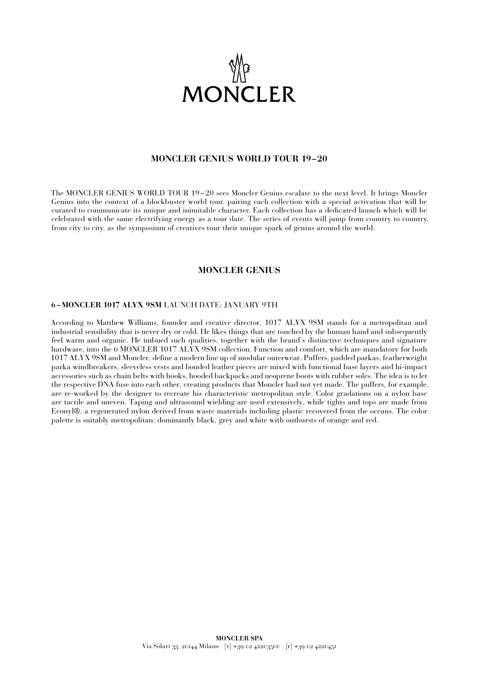

# **MONCLER GENIUS WORLD TOUR 19–20**

The MONCLER GENIUS WORLD TOUR 19 – 20 sees Moncler Genius escalate to the next level. It brings Moncler Genius into the context of a blockbuster world tour, pairing each collection with a special activation that will be curated to communicate its unique and inimitable character. Each collection has a dedicated launch which will be celebrated with the same electrifying energy as a tour date. The series of events will jump from country to country, from city to city, as the symposium of creatives tour their unique spark of genius around the world.

## **MONCLER GENIUS**

### **6 –MONCLER 1017 ALYX 9SM** LAUNCH DATE: JANUARY 9TH

According to Matthew Williams, founder and creative director, 1017 ALYX 9SM stands for a metropolitan and industrial sensibility that is never dry or cold. He likes things that are touched by the human hand and subsequently feel warm and organic. He imbued such qualities, together with the brand's distinctive techniques and signature hardware, into the 6 MONCLER 1017 ALYX 9SM collection. Function and comfort, which are mandatory for both 1017 ALYX 9SM and Moncler, define a modern line up of modular outerwear. Puffers, padded parkas, featherweight parka windbreakers, sleeveless vests and bonded leather pieces are mixed with functional base layers and hi-impact accessories such as chain belts with hooks, hooded backpacks and neoprene boots with rubber soles. The idea is to let the respective DNA fuse into each other, creating products that Moncler had not yet made. The puffers, for example, are re-worked by the designer to recreate his characteristic metropolitan style. Color gradations on a nylon base are tactile and uneven. Taping and ultrasound wielding are used extensively, while tights and tops are made from Econyl®, a regenerated nylon derived from waste materials including plastic recovered from the oceans. The color palette is suitably metropolitan: dominantly black, grey and white with outbursts of orange and red.